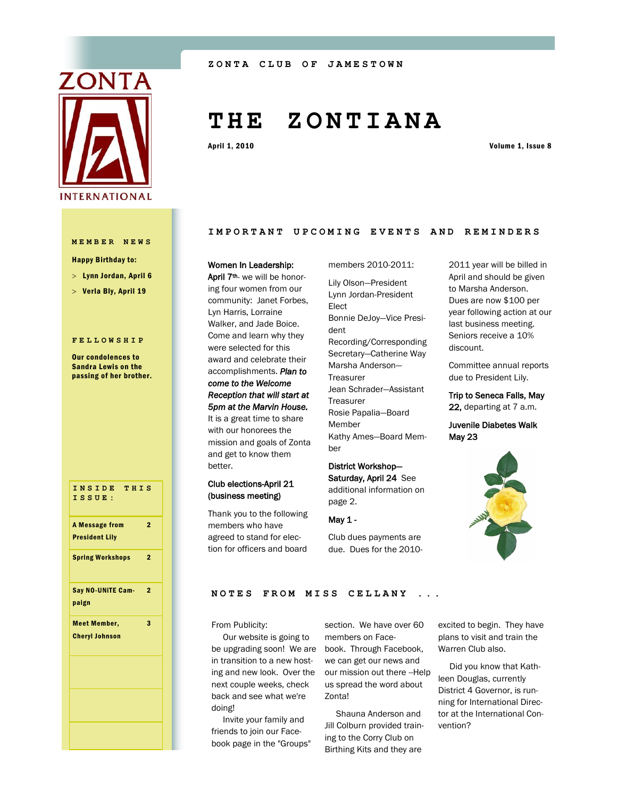

#### **MEMBER NEWS**

Happy Birthday to:

- Lynn Jordan, April 6
- $>$  Verla Bly, April 19

#### **FELLOWSHIP**

Our condolences to Sandra Lewis on the passing of her brother.

**INSIDE THIS ISSUE:** A Message from President Lily  $\overline{2}$ Spring Workshops 2 Say NO-UNiTE Campaign 2 Meet Member, Cheryl Johnson 3

# **T H E Z O N T I A N A**

April 1, 2010 Volume 1, Issue 8

#### IMPORTANT UPCOMING EVENTS AND REMINDERS

members 2010-2011:

#### Women In Leadership:

April 7<sup>th</sup>- we will be honoring four women from our community: Janet Forbes, Lyn Harris, Lorraine Walker, and Jade Boice. Come and learn why they were selected for this award and celebrate their accomplishments. *Plan to come to the Welcome Reception that will start at 5pm at the Marvin House.*  It is a great time to share with our honorees the mission and goals of Zonta and get to know them better.

#### Club elections-April 21 (business meeting)

Thank you to the following members who have agreed to stand for election for officers and board

Lily Olson—President Lynn Jordan-President Elect Bonnie DeJoy—Vice President Recording/Corresponding Secretary—Catherine Way Marsha Anderson— Treasurer Jean Schrader—Assistant **Treasurer** Rosie Papalia—Board Member

Kathy Ames—Board Member

# District Workshop— Saturday, April 24 See

additional information on page 2.

### May 1 -

Club dues payments are due. Dues for the 20102011 year will be billed in April and should be given to Marsha Anderson. Dues are now \$100 per year following action at our last business meeting. Seniors receive a 10% discount.

Committee annual reports due to President Lily.

Trip to Seneca Falls, May 22, departing at 7 a.m.

Juvenile Diabetes Walk May 23



#### **NOTES FROM MISS CELLANY**

From Publicity:

 Our website is going to be upgrading soon! We are book. Through Facebook, in transition to a new hosting and new look. Over the next couple weeks, check back and see what we're doing!

 Invite your family and friends to join our Facebook page in the "Groups"

section. We have over 60 members on Facewe can get our news and our mission out there --Help us spread the word about Zonta!

 Shauna Anderson and Jill Colburn provided training to the Corry Club on Birthing Kits and they are

excited to begin. They have plans to visit and train the Warren Club also.

 Did you know that Kathleen Douglas, currently District 4 Governor, is running for International Director at the International Convention?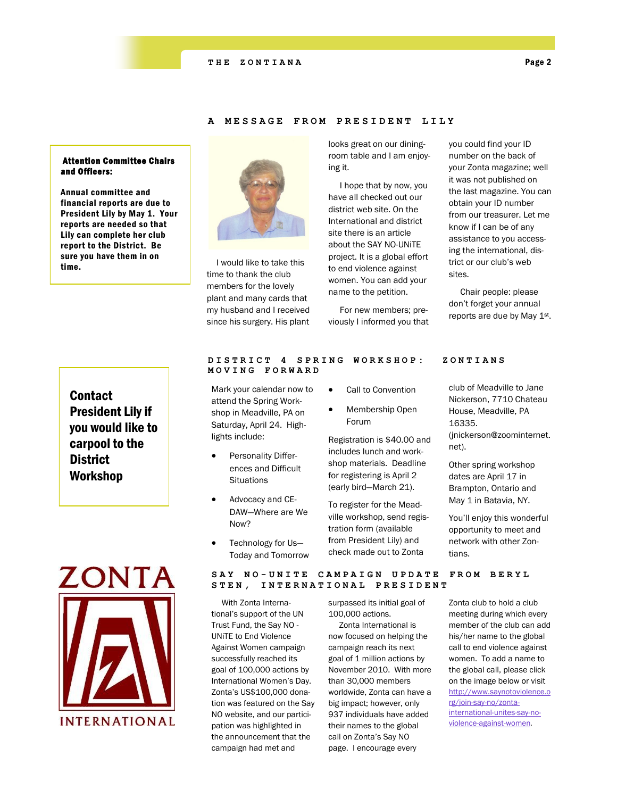#### Attention Committee Chairs and Officers:

Annual committee and financial reports are due to President Lily by May 1. Your reports are needed so that Lily can complete her club report to the District. Be sure you have them in on time.

# **Contact** President Lily if you would like to carpool to the **District** Workshop



#### **A MESSAGE FROM PRESI D E N T L I L Y**



 I would like to take this time to thank the club members for the lovely plant and many cards that my husband and I received since his surgery. His plant

Mark your calendar now to attend the Spring Workshop in Meadville, PA on Saturday, April 24. High-

> Personality Differences and Difficult

 Advocacy and CE-DAW—Where are We

 Technology for Us— Today and Tomorrow

**Situations** 

Now?

lights include:

looks great on our diningroom table and I am enjoying it.

 I hope that by now, you have all checked out our district web site. On the International and district site there is an article about the SAY NO-UNiTE project. It is a global effort to end violence against women. You can add your name to the petition.

 For new members; previously I informed you that you could find your ID number on the back of your Zonta magazine; well it was not published on the last magazine. You can obtain your ID number from our treasurer. Let me know if I can be of any assistance to you accessing the international, district or our club's web sites.

 Chair people: please don't forget your annual reports are due by May 1st.

#### **DISTRICT 4 SPRING WO R K S H O P : Z O N T I A N S MOVING FORWARD**

Call to Convention

 Membership Open Forum

Registration is \$40.00 and includes lunch and workshop materials. Deadline for registering is April 2 (early bird—March 21).

To register for the Meadville workshop, send registration form (available from President Lily) and check made out to Zonta

club of Meadville to Jane Nickerson, 7710 Chateau House, Meadville, PA 16335. (jnickerson@zoominternet. net).

Other spring workshop dates are April 17 in Brampton, Ontario and May 1 in Batavia, NY.

You'll enjoy this wonderful opportunity to meet and network with other Zontians.

**SAY NO - U N I T E C A M P A I G N U P D A T E F R O M B E R Y L STEN, INTERNATIONAL PRESIDENT**

 With Zonta International's support of the UN Trust Fund, the Say NO - UNiTE to End Violence Against Women campaign successfully reached its goal of 100,000 actions by International Women's Day. Zonta's US\$100,000 donation was featured on the Say NO website, and our participation was highlighted in the announcement that the campaign had met and

surpassed its initial goal of 100,000 actions.

 Zonta International is now focused on helping the campaign reach its next goal of 1 million actions by November 2010. With more than 30,000 members worldwide, Zonta can have a big impact; however, only 937 individuals have added their names to the global call on Zonta's Say NO page. I encourage every

Zonta club to hold a club meeting during which every member of the club can add his/her name to the global call to end violence against women. To add a name to the global call, please click on the image below or visit [http://www.saynotoviolence.o](http://www.zonta.org/site/R?i=JRx8SSyjWhAcgoQuTpP4CQ..) [rg/join-say-no/zonta](http://www.zonta.org/site/R?i=JRx8SSyjWhAcgoQuTpP4CQ..)[international-unites-say-no](http://www.zonta.org/site/R?i=JRx8SSyjWhAcgoQuTpP4CQ..)[violence-against-women.](http://www.zonta.org/site/R?i=JRx8SSyjWhAcgoQuTpP4CQ..)